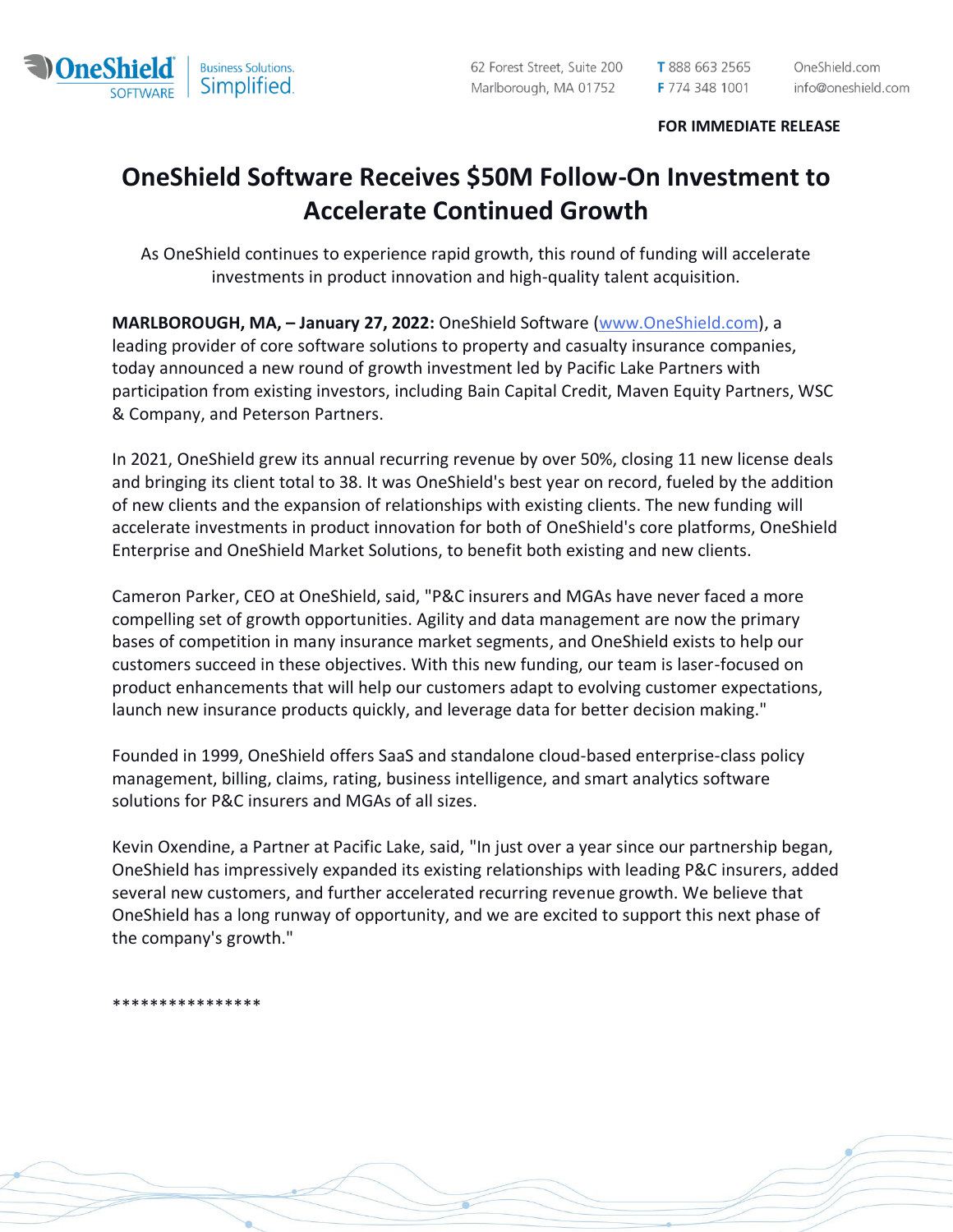

## **FOR IMMEDIATE RELEASE**

## **OneShield Software Receives \$50M Follow-On Investment to Accelerate Continued Growth**

As OneShield continues to experience rapid growth, this round of funding will accelerate investments in product innovation and high-quality talent acquisition.

**MARLBOROUGH, MA, – January 27, 2022:** OneShield Software [\(www.OneShield.com\)](https://nam04.safelinks.protection.outlook.com/?url=http%3A%2F%2Fwww.oneshield.com%2F&data=04%7C01%7Clsmith%40oneshield.com%7Cea8c17461acf4ddd9a5708d9d4510222%7Cf756873d727643d1a5b683b96980f900%7C0%7C0%7C637774266660445231%7CUnknown%7CTWFpbGZsb3d8eyJWIjoiMC4wLjAwMDAiLCJQIjoiV2luMzIiLCJBTiI6Ik1haWwiLCJXVCI6Mn0%3D%7C3000&sdata=s8M2h3NsdN06eEXgGBVXDMGdqZW59BDcNy8txsmcaaA%3D&reserved=0), a leading provider of core software solutions to property and casualty insurance companies, today announced a new round of growth investment led by Pacific Lake Partners with participation from existing investors, including Bain Capital Credit, Maven Equity Partners, WSC & Company, and Peterson Partners.

In 2021, OneShield grew its annual recurring revenue by over 50%, closing 11 new license deals and bringing its client total to 38. It was OneShield's best year on record, fueled by the addition of new clients and the expansion of relationships with existing clients. The new funding will accelerate investments in product innovation for both of OneShield's core platforms, OneShield Enterprise and OneShield Market Solutions, to benefit both existing and new clients.

Cameron Parker, CEO at OneShield, said, "P&C insurers and MGAs have never faced a more compelling set of growth opportunities. Agility and data management are now the primary bases of competition in many insurance market segments, and OneShield exists to help our customers succeed in these objectives. With this new funding, our team is laser-focused on product enhancements that will help our customers adapt to evolving customer expectations, launch new insurance products quickly, and leverage data for better decision making."

Founded in 1999, OneShield offers SaaS and standalone cloud-based enterprise-class policy management, billing, claims, rating, business intelligence, and smart analytics software solutions for P&C insurers and MGAs of all sizes.

Kevin Oxendine, a Partner at Pacific Lake, said, "In just over a year since our partnership began, OneShield has impressively expanded its existing relationships with leading P&C insurers, added several new customers, and further accelerated recurring revenue growth. We believe that OneShield has a long runway of opportunity, and we are excited to support this next phase of the company's growth."

\*\*\*\*\*\*\*\*\*\*\*\*\*\*\*\*